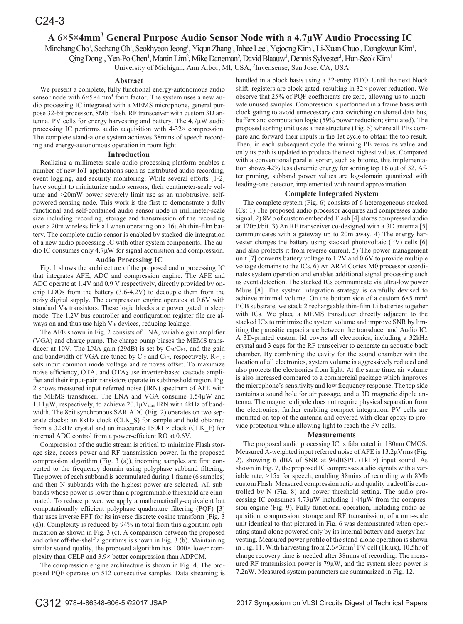# **A** 6×5×4mm<sup>3</sup> General Purpose Audio Sensor Node with a 4.7μW Audio Processing IC

Minchang Cho<sup>1</sup>, Sechang Oh<sup>1</sup>, Seokhyeon Jeong<sup>1</sup>, Yiqun Zhang<sup>1</sup>, Inhee Lee<sup>1</sup>, Yejoong Kim<sup>1</sup>, Li-Xuan Chuo<sup>1</sup>, Dongkwun Kim<sup>1</sup>,

Qing Dong<sup>1</sup>, Yen-Po Chen<sup>1</sup>, Martin Lim<sup>2</sup>, Mike Daneman<sup>2</sup>, David Blaauw<sup>1</sup>, Dennis Sylvester<sup>1</sup>, Hun-Seok Kim<sup>1</sup>

<sup>1</sup>University of Michigan, Ann Arbor, MI, USA, <sup>2</sup>Invensense, San Jose, CA, USA

### **Abstract**

We present a complete, fully functional energy-autonomous audio sensor node with  $6 \times 5 \times 4$ mm<sup>3</sup> form factor. The system uses a new audio processing IC integrated with a MEMS microphone, general purpose 32-bit processor, 8Mb Flash, RF transceiver with custom 3D antenna, PV cells for energy harvesting and battery. The  $4.7\mu$ W audio processing IC performs audio acquisition with 4-32× compression. The complete stand-alone system achieves 38mins of speech recording and energy-autonomous operation in room light.

### **Introduction**

Realizing a millimeter-scale audio processing platform enables a number of new IoT applications such as distributed audio recording, event logging, and security monitoring. While several efforts [1-2] have sought to miniaturize audio sensors, their centimeter-scale volume and >20mW power severely limit use as an unobtrusive, selfpowered sensing node. This work is the first to demonstrate a fully functional and self-contained audio sensor node in millimeter-scale size including recording, storage and transmission of the recording over a 20m wireless link all when operating on a  $16\mu$ Ah thin-film battery. The complete audio sensor is enabled by stacked-die integration of a new audio processing IC with other system components. The audio IC consumes only  $4.7\mu$ W for signal acquisition and compression.

# **Audio Processing IC**

Fig. 1 shows the architecture of the proposed audio processing IC that integrates AFE, ADC and compression engine. The AFE and ADC operate at 1.4V and 0.9 V respectively, directly provided by onchip LDOs from the battery (3.6-4.2V) to decouple them from the noisy digital supply. The compression engine operates at 0.6V with standard Vth transistors. These logic blocks are power gated in sleep mode. The 1.2V bus controller and configuration register file are always on and thus use high  $V_{th}$  devices, reducing leakage.

The AFE shown in Fig. 2 consists of LNA, variable gain amplifier (VGA) and charge pump. The charge pump biases the MEMS transducer at 10V. The LNA gain (29dB) is set by  $C_M/C_{F1}$ , and the gain and bandwidth of VGA are tuned by  $C_{12}$  and  $C_{L2}$ , respectively.  $R_{F1, 2}$ sets input common mode voltage and removes offset. To maximize noise efficiency, OTA1 and OTA2 use inverter-based cascode amplifier and their input-pair transistors operate in subthreshold region. Fig. 2 shows measured input referred noise (IRN) spectrum of AFE with the MEMS transducer. The LNA and VGA consume 1.54μW and  $1.11\mu$ W, respectively, to achieve  $20.1\mu$ V<sub>rms</sub> IRN with 4kHz of bandwidth. The 8bit synchronous SAR ADC (Fig. 2) operates on two separate clocks: an 8kHz clock (CLK\_S) for sample and hold obtained from a 32kHz crystal and an inaccurate 150kHz clock (CLK\_F) for internal ADC control from a power-efficient RO at 0.6V.

Compression of the audio stream is critical to minimize Flash storage size, access power and RF transmission power. In the proposed compression algorithm (Fig. 3 (a)), incoming samples are first converted to the frequency domain using polyphase subband filtering. The power of each subband is accumulated during 1 frame (6 samples) and then N subbands with the highest power are selected. All subbands whose power is lower than a programmable threshold are eliminated. To reduce power, we apply a mathematically-equivalent but computationally efficient polyphase quadrature filtering (PQF) [3] that uses inverse FFT for its inverse discrete cosine transform (Fig. 3 (d)). Complexity is reduced by 94% in total from this algorithm optimization as shown in Fig. 3 (c). A comparison between the proposed and other off-the-shelf algorithms is shown in Fig. 3 (b). Maintaining similar sound quality, the proposed algorithm has  $1000\times$  lower complexity than CELP and 3.9× better compression than ADPCM.

The compression engine architecture is shown in Fig. 4. The proposed PQF operates on 512 consecutive samples. Data streaming is handled in a block basis using a 32-entry FIFO. Until the next block shift, registers are clock gated, resulting in  $32 \times$  power reduction. We observe that 25% of PQF coefficients are zero, allowing us to inactivate unused samples. Compression is performed in a frame basis with clock gating to avoid unnecessary data switching on shared data bus, buffers and computation logic (59% power reduction; simulated). The proposed sorting unit uses a tree structure (Fig. 5) where all PEs compare and forward their inputs in the 1st cycle to obtain the top result. Then, in each subsequent cycle the winning PE zeros its value and only its path is updated to produce the next highest values. Compared with a conventional parallel sorter, such as bitonic, this implementation shows 42% less dynamic energy for sorting top 16 out of 32. After pruning, subband power values are log-domain quantized with leading-one detector, implemented with round approximation.

## **Complete Integrated System**

The complete system (Fig. 6) consists of 6 heterogeneous stacked ICs: 1) The proposed audio processor acquires and compresses audio signal. 2) 8Mb of custom embedded Flash [4] stores compressed audio at 120pJ/bit. 3) An RF transceiver co-designed with a 3D antenna [5] communicates with a gateway up to 20m away. 4) The energy harvester charges the battery using stacked photovoltaic (PV) cells [6] and also protects it from reverse current. 5) The power management unit [7] converts battery voltage to 1.2V and 0.6V to provide multiple voltage domains to the ICs. 6) An ARM Cortex M0 processor coordinates system operation and enables additional signal processing such as event detection. The stacked ICs communicate via ultra-low power Mbus [8]. The system integration strategy is carefully devised to achieve minimal volume. On the bottom side of a custom  $6\times5$  mm<sup>2</sup> PCB substrate, we stack 2 rechargeable thin-film Li batteries together with ICs. We place a MEMS transducer directly adjacent to the stacked ICs to minimize the system volume and improve SNR by limiting the parasitic capacitance between the transducer and Audio IC. A 3D-printed custom lid covers all electronics, including a 32kHz crystal and 3 caps for the RF transceiver to generate an acoustic back chamber. By combining the cavity for the sound chamber with the location of all electronics, system volume is aggressively reduced and also protects the electronics from light. At the same time, air volume is also increased compared to a commercial package which improves the microphone's sensitivity and low frequency response. The top side contains a sound hole for air passage, and a 3D magnetic dipole antenna. The magnetic dipole does not require physical separation from the electronics, further enabling compact integration. PV cells are mounted on top of the antenna and covered with clear epoxy to provide protection while allowing light to reach the PV cells.

## **Measurements**

The proposed audio processing IC is fabricated in 180nm CMOS. Measured A-weighted input referred noise of AFE is  $13.2 \mu V$ rms (Fig. 2), showing 61dBA of SNR at 94dBSPL (1kHz) input sound. As shown in Fig. 7, the proposed IC compresses audio signals with a variable rate, >15x for speech, enabling 38mins of recording with 8Mb custom Flash. Measured compression ratio and quality tradeoff is controlled by N (Fig. 8) and power threshold setting. The audio processing IC consumes  $4.73\mu$ W including  $1.44\mu$ W from the compression engine (Fig. 9). Fully functional operation, including audio acquisition, compression, storage and RF transmission, of a mm-scale unit identical to that pictured in Fig. 6 was demonstrated when operating stand-alone powered only by its internal battery and energy harvesting. Measured power profile of the stand-alone operation is shown in Fig. 11. With harvesting from 2.6×3mm2 PV cell (1klux), 10.5hr of charge recovery time is needed after 38mins of recording. The measured RF transmission power is  $79\mu$ W, and the system sleep power is 7.2nW. Measured system parameters are summarized in Fig. 12.